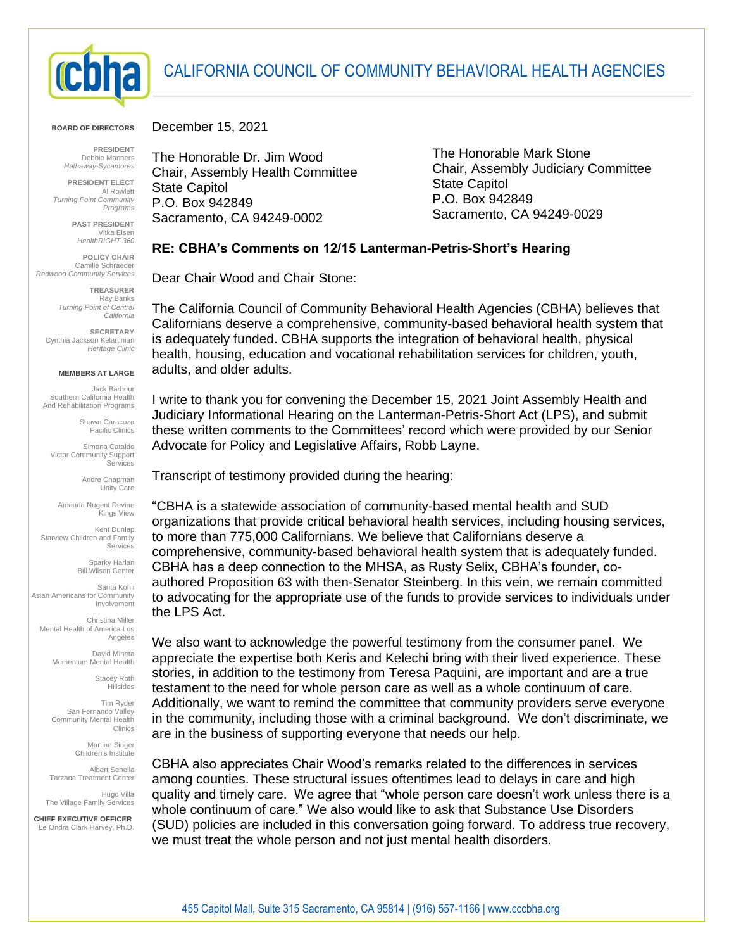

## CALIFORNIA COUNCIL OF COMMUNITY BEHAVIORAL HEALTH AGENCIES

**BOARD OF DIRECTORS**

**PRESIDENT** Debbie Manners *Hathaway-Sycamores*

**PRESIDENT ELECT** Al Rowlett *Turning Point Community Programs*

> **PAST PRESIDENT** Vitka Eisen *HealthRIGHT 360*

**POLICY CHAIR** Camille Schraeder *Redwood Community Services*

> **TREASURER** Ray Banks *Turning Point of Central California*

**SECRETARY** Cynthia Jackson Kelartinian *Heritage Clinic*

## **MEMBERS AT LARGE**

Jack Barbour Southern California Health And Rehabilitation Programs

> Shawn Caracoza Pacific Clinics

Simona Cataldo Victor Community Support Services

> Andre Chapman Unity Care

Amanda Nugent Devine Kings View

Kent Dunlap Starview Children and Family Services

> Sparky Harlan Bill Wilson Center

Sarita Kohli Asian Americans for Community Involvement

Christina Miller Mental Health of America Los Angeles

> David Mineta Momentum Mental Health

> > Stacey Roth Hillsides

Tim Ryder San Fernando Valley Community Mental Health Clinics

> Martine Singer Children's Institute

Albert Senella Tarzana Treatment Center

Hugo Villa The Village Family Services 

 **CHIEF EXECUTIVE OFFICER** Le Ondra Clark Harvey, Ph.D. December 15, 2021

The Honorable Dr. Jim Wood Chair, Assembly Health Committee State Capitol P.O. Box 942849 Sacramento, CA 94249-0002

The Honorable Mark Stone Chair, Assembly Judiciary Committee State Capitol P.O. Box 942849 Sacramento, CA 94249-0029

## **RE: CBHA's Comments on 12/15 Lanterman-Petris-Short's Hearing**

Dear Chair Wood and Chair Stone:

The California Council of Community Behavioral Health Agencies (CBHA) believes that Californians deserve a comprehensive, community-based behavioral health system that is adequately funded. CBHA supports the integration of behavioral health, physical health, housing, education and vocational rehabilitation services for children, youth, adults, and older adults.

I write to thank you for convening the December 15, 2021 Joint Assembly Health and Judiciary Informational Hearing on the Lanterman-Petris-Short Act (LPS), and submit these written comments to the Committees' record which were provided by our Senior Advocate for Policy and Legislative Affairs, Robb Layne.

Transcript of testimony provided during the hearing:

"CBHA is a statewide association of community-based mental health and SUD organizations that provide critical behavioral health services, including housing services, to more than 775,000 Californians. We believe that Californians deserve a comprehensive, community-based behavioral health system that is adequately funded. CBHA has a deep connection to the MHSA, as Rusty Selix, CBHA's founder, coauthored Proposition 63 with then-Senator Steinberg. In this vein, we remain committed to advocating for the appropriate use of the funds to provide services to individuals under the LPS Act.

We also want to acknowledge the powerful testimony from the consumer panel. We appreciate the expertise both Keris and Kelechi bring with their lived experience. These stories, in addition to the testimony from Teresa Paquini, are important and are a true testament to the need for whole person care as well as a whole continuum of care. Additionally, we want to remind the committee that community providers serve everyone in the community, including those with a criminal background. We don't discriminate, we are in the business of supporting everyone that needs our help.

CBHA also appreciates Chair Wood's remarks related to the differences in services among counties. These structural issues oftentimes lead to delays in care and high quality and timely care. We agree that "whole person care doesn't work unless there is a whole continuum of care." We also would like to ask that Substance Use Disorders (SUD) policies are included in this conversation going forward. To address true recovery, we must treat the whole person and not just mental health disorders.